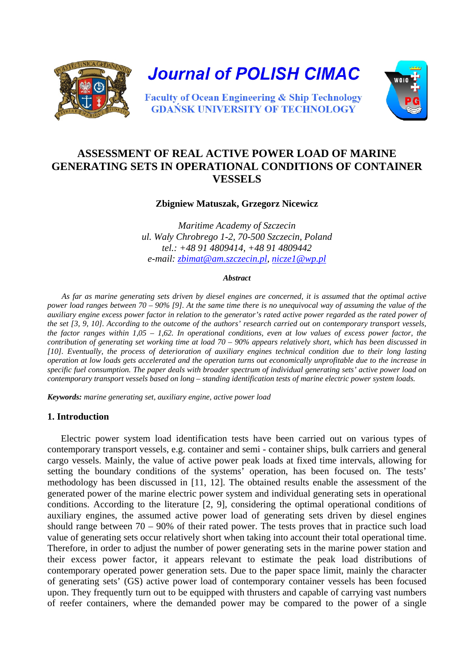

**Journal of POLISH CIMAC** 



**Faculty of Ocean Engineering & Ship Technology GDANSK UNIVERSITY OF TECHNOLOGY** 

# **ASSESSMENT OF REAL ACTIVE POWER LOAD OF MARINE GENERATING SETS IN OPERATIONAL CONDITIONS OF CONTAINER VESSELS**

**Zbigniew Matuszak, Grzegorz Nicewicz** 

*Maritime Academy of Szczecin ul. Wały Chrobrego 1-2, 70-500 Szczecin, Poland tel.: +48 91 4809414, +48 91 4809442 e-mail: zbimat@am.szczecin.pl, nicze1@wp.pl*

#### *Abstract*

*As far as marine generating sets driven by diesel engines are concerned, it is assumed that the optimal active power load ranges between 70 – 90% [9]. At the same time there is no unequivocal way of assuming the value of the auxiliary engine excess power factor in relation to the generator's rated active power regarded as the rated power of the set [3, 9, 10]. According to the outcome of the authors' research carried out on contemporary transport vessels, the factor ranges within 1,05 – 1,62. In operational conditions, even at low values of excess power factor, the contribution of generating set working time at load 70 – 90% appears relatively short, which has been discussed in [10]. Eventually, the process of deterioration of auxiliary engines technical condition due to their long lasting operation at low loads gets accelerated and the operation turns out economically unprofitable due to the increase in specific fuel consumption. The paper deals with broader spectrum of individual generating sets' active power load on contemporary transport vessels based on long – standing identification tests of marine electric power system loads.* 

*Keywords: marine generating set, auxiliary engine, active power load* 

#### **1. Introduction**

Electric power system load identification tests have been carried out on various types of contemporary transport vessels, e.g. container and semi - container ships, bulk carriers and general cargo vessels. Mainly, the value of active power peak loads at fixed time intervals, allowing for setting the boundary conditions of the systems' operation, has been focused on. The tests' methodology has been discussed in [11, 12]. The obtained results enable the assessment of the generated power of the marine electric power system and individual generating sets in operational conditions. According to the literature [2, 9], considering the optimal operational conditions of auxiliary engines, the assumed active power load of generating sets driven by diesel engines should range between  $70 - 90\%$  of their rated power. The tests proves that in practice such load value of generating sets occur relatively short when taking into account their total operational time. Therefore, in order to adjust the number of power generating sets in the marine power station and their excess power factor, it appears relevant to estimate the peak load distributions of contemporary operated power generation sets. Due to the paper space limit, mainly the character of generating sets' (GS) active power load of contemporary container vessels has been focused upon. They frequently turn out to be equipped with thrusters and capable of carrying vast numbers of reefer containers, where the demanded power may be compared to the power of a single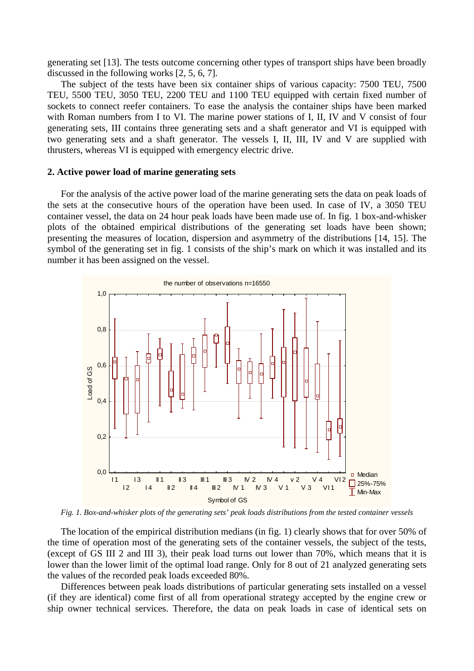generating set [13]. The tests outcome concerning other types of transport ships have been broadly discussed in the following works [2, 5, 6, 7].

The subject of the tests have been six container ships of various capacity: 7500 TEU, 7500 TEU, 5500 TEU, 3050 TEU, 2200 TEU and 1100 TEU equipped with certain fixed number of sockets to connect reefer containers. To ease the analysis the container ships have been marked with Roman numbers from I to VI. The marine power stations of I, II, IV and V consist of four generating sets, III contains three generating sets and a shaft generator and VI is equipped with two generating sets and a shaft generator. The vessels I, II, III, IV and V are supplied with thrusters, whereas VI is equipped with emergency electric drive.

#### **2. Active power load of marine generating sets**

For the analysis of the active power load of the marine generating sets the data on peak loads of the sets at the consecutive hours of the operation have been used. In case of IV, a 3050 TEU container vessel, the data on 24 hour peak loads have been made use of. In fig. 1 box-and-whisker plots of the obtained empirical distributions of the generating set loads have been shown; presenting the measures of location, dispersion and asymmetry of the distributions [14, 15]. The symbol of the generating set in fig. 1 consists of the ship's mark on which it was installed and its number it has been assigned on the vessel.



*Fig. 1. Box-and-whisker plots of the generating sets' peak loads distributions from the tested container vessels* 

The location of the empirical distribution medians (in fig. 1) clearly shows that for over 50% of the time of operation most of the generating sets of the container vessels, the subject of the tests, (except of GS III 2 and III 3), their peak load turns out lower than 70%, which means that it is lower than the lower limit of the optimal load range. Only for 8 out of 21 analyzed generating sets the values of the recorded peak loads exceeded 80%.

Differences between peak loads distributions of particular generating sets installed on a vessel (if they are identical) come first of all from operational strategy accepted by the engine crew or ship owner technical services. Therefore, the data on peak loads in case of identical sets on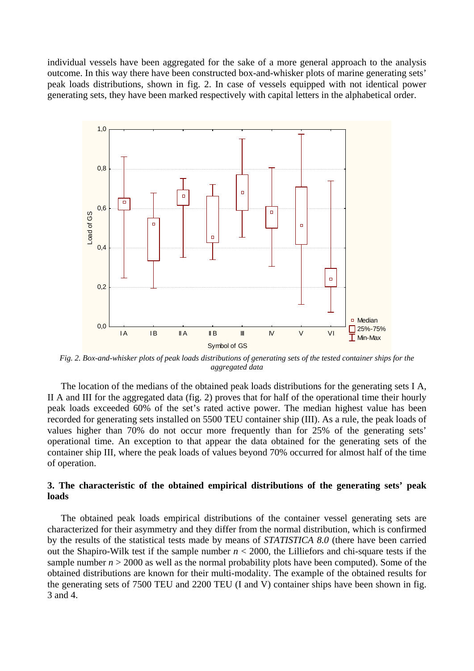individual vessels have been aggregated for the sake of a more general approach to the analysis outcome. In this way there have been constructed box-and-whisker plots of marine generating sets' peak loads distributions, shown in fig. 2. In case of vessels equipped with not identical power generating sets, they have been marked respectively with capital letters in the alphabetical order.



*Fig. 2. Box-and-whisker plots of peak loads distributions of generating sets of the tested container ships for the aggregated data* 

The location of the medians of the obtained peak loads distributions for the generating sets I A, II A and III for the aggregated data (fig. 2) proves that for half of the operational time their hourly peak loads exceeded 60% of the set's rated active power. The median highest value has been recorded for generating sets installed on 5500 TEU container ship (III). As a rule, the peak loads of values higher than 70% do not occur more frequently than for 25% of the generating sets' operational time. An exception to that appear the data obtained for the generating sets of the container ship III, where the peak loads of values beyond 70% occurred for almost half of the time of operation.

### **3. The characteristic of the obtained empirical distributions of the generating sets' peak loads**

The obtained peak loads empirical distributions of the container vessel generating sets are characterized for their asymmetry and they differ from the normal distribution, which is confirmed by the results of the statistical tests made by means of *STATISTICA 8.0* (there have been carried out the Shapiro-Wilk test if the sample number  $n < 2000$ , the Lilliefors and chi-square tests if the sample number  $n > 2000$  as well as the normal probability plots have been computed). Some of the obtained distributions are known for their multi-modality. The example of the obtained results for the generating sets of 7500 TEU and 2200 TEU (I and V) container ships have been shown in fig. 3 and 4.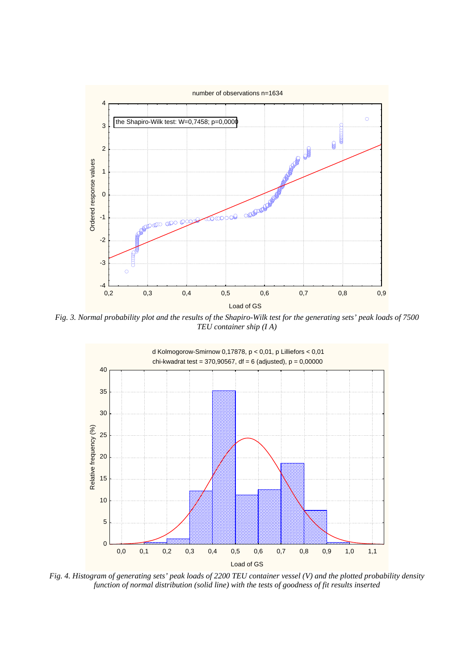

*Fig. 3. Normal probability plot and the results of the Shapiro-Wilk test for the generating sets' peak loads of 7500 TEU container ship (I A)* 



*Fig. 4. Histogram of generating sets' peak loads of 2200 TEU container vessel (V) and the plotted probability density function of normal distribution (solid line) with the tests of goodness of fit results inserted*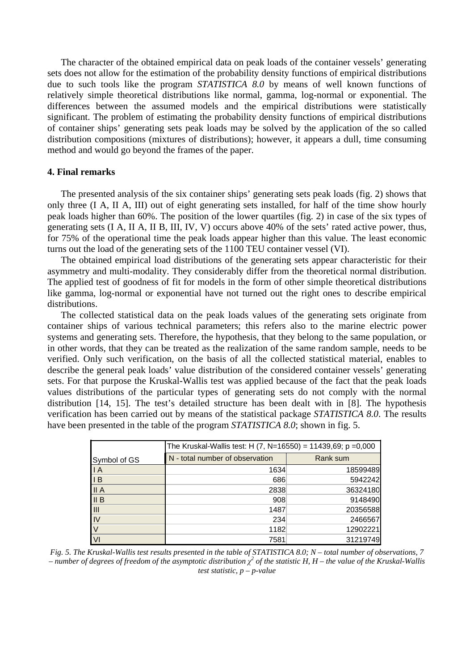The character of the obtained empirical data on peak loads of the container vessels' generating sets does not allow for the estimation of the probability density functions of empirical distributions due to such tools like the program *STATISTICA 8.0* by means of well known functions of relatively simple theoretical distributions like normal, gamma, log-normal or exponential. The differences between the assumed models and the empirical distributions were statistically significant. The problem of estimating the probability density functions of empirical distributions of container ships' generating sets peak loads may be solved by the application of the so called distribution compositions (mixtures of distributions); however, it appears a dull, time consuming method and would go beyond the frames of the paper.

#### **4. Final remarks**

The presented analysis of the six container ships' generating sets peak loads (fig. 2) shows that only three (I A, II A, III) out of eight generating sets installed, for half of the time show hourly peak loads higher than 60%. The position of the lower quartiles (fig. 2) in case of the six types of generating sets (I A, II A, II B, III, IV, V) occurs above 40% of the sets' rated active power, thus, for 75% of the operational time the peak loads appear higher than this value. The least economic turns out the load of the generating sets of the 1100 TEU container vessel (VI).

The obtained empirical load distributions of the generating sets appear characteristic for their asymmetry and multi-modality. They considerably differ from the theoretical normal distribution. The applied test of goodness of fit for models in the form of other simple theoretical distributions like gamma, log-normal or exponential have not turned out the right ones to describe empirical distributions.

The collected statistical data on the peak loads values of the generating sets originate from container ships of various technical parameters; this refers also to the marine electric power systems and generating sets. Therefore, the hypothesis, that they belong to the same population, or in other words, that they can be treated as the realization of the same random sample, needs to be verified. Only such verification, on the basis of all the collected statistical material, enables to describe the general peak loads' value distribution of the considered container vessels' generating sets. For that purpose the Kruskal-Wallis test was applied because of the fact that the peak loads values distributions of the particular types of generating sets do not comply with the normal distribution [14, 15]. The test's detailed structure has been dealt with in [8]. The hypothesis verification has been carried out by means of the statistical package *STATISTICA 8.0*. The results have been presented in the table of the program *STATISTICA 8.0*; shown in fig. 5.

|                | The Kruskal-Wallis test: H $(7, N=16550) = 11439,69$ ; p =0,000 |          |
|----------------|-----------------------------------------------------------------|----------|
| Symbol of GS   | N - total number of observation                                 | Rank sum |
| $\overline{A}$ | 1634                                                            | 18599489 |
| $\overline{B}$ | 686                                                             | 5942242  |
| II A           | 2838                                                            | 36324180 |
| II B           | 908                                                             | 9148490  |
| III            | 1487                                                            | 20356588 |
| IV             | 234                                                             | 2466567  |
|                | 1182                                                            | 12902221 |
| VI             | 7581                                                            | 31219749 |

*Fig. 5. The Kruskal-Wallis test results presented in the table of STATISTICA 8.0; N – total number of observations, 7*   $-$  number of degrees of freedom of the asymptotic distribution  $\chi^2$  of the statistic H, H – the value of the Kruskal-Wallis *test statistic, p – p-value*